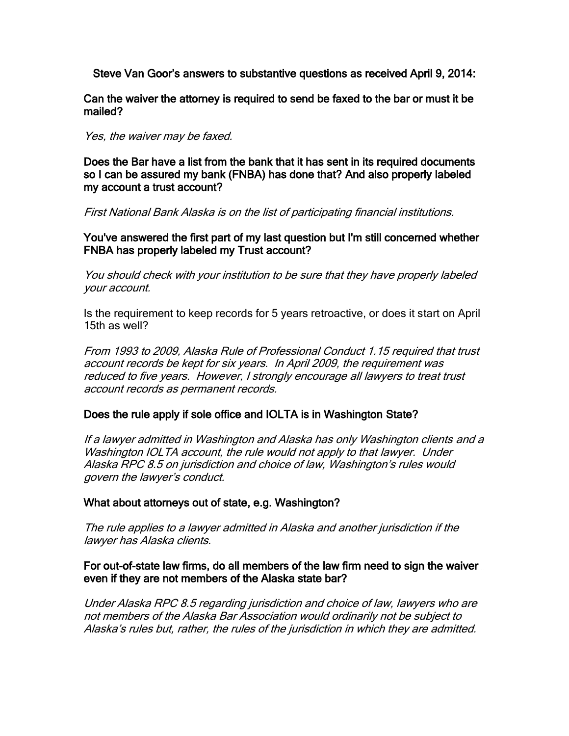Steve Van Goor's answers to substantive questions as received April 9, 2014:

Can the waiver the attorney is required to send be faxed to the bar or must it be mailed?

Yes, the waiver may be faxed.

Does the Bar have a list from the bank that it has sent in its required documents so I can be assured my bank (FNBA) has done that? And also properly labeled my account a trust account?

First National Bank Alaska is on the list of participating financial institutions.

You've answered the first part of my last question but I'm still concerned whether FNBA has properly labeled my Trust account?

You should check with your institution to be sure that they have properly labeled your account.

Is the requirement to keep records for 5 years retroactive, or does it start on April 15th as well?

From 1993 to 2009, Alaska Rule of Professional Conduct 1.15 required that trust account records be kept for six years. In April 2009, the requirement was reduced to five years. However, I strongly encourage all lawyers to treat trust account records as permanent records.

### Does the rule apply if sole office and IOLTA is in Washington State?

If a lawyer admitted in Washington and Alaska has only Washington clients and a Washington IOLTA account, the rule would not apply to that lawyer. Under Alaska RPC 8.5 on jurisdiction and choice of law, Washington's rules would govern the lawyer's conduct.

### What about attorneys out of state, e.g. Washington?

The rule applies to a lawyer admitted in Alaska and another jurisdiction if the lawyer has Alaska clients.

### For out-of-state law firms, do all members of the law firm need to sign the waiver even if they are not members of the Alaska state bar?

Under Alaska RPC 8.5 regarding jurisdiction and choice of law, lawyers who are not members of the Alaska Bar Association would ordinarily not be subject to Alaska's rules but, rather, the rules of the jurisdiction in which they are admitted.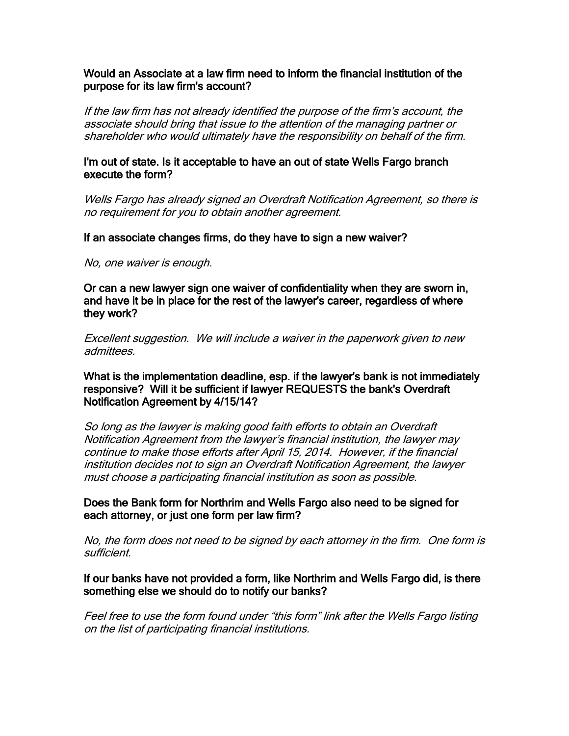### Would an Associate at a law firm need to inform the financial institution of the purpose for its law firm's account?

If the law firm has not already identified the purpose of the firm's account, the associate should bring that issue to the attention of the managing partner or shareholder who would ultimately have the responsibility on behalf of the firm.

#### I'm out of state. Is it acceptable to have an out of state Wells Fargo branch execute the form?

Wells Fargo has already signed an Overdraft Notification Agreement, so there is no requirement for you to obtain another agreement.

If an associate changes firms, do they have to sign a new waiver?

No, one waiver is enough.

Or can a new lawyer sign one waiver of confidentiality when they are sworn in, and have it be in place for the rest of the lawyer's career, regardless of where they work?

Excellent suggestion. We will include a waiver in the paperwork given to new admittees.

What is the implementation deadline, esp. if the lawyer's bank is not immediately responsive? Will it be sufficient if lawyer REQUESTS the bank's Overdraft Notification Agreement by 4/15/14?

So long as the lawyer is making good faith efforts to obtain an Overdraft Notification Agreement from the lawyer's financial institution, the lawyer may continue to make those efforts after April 15, 2014. However, if the financial institution decides not to sign an Overdraft Notification Agreement, the lawyer must choose a participating financial institution as soon as possible.

Does the Bank form for Northrim and Wells Fargo also need to be signed for each attorney, or just one form per law firm?

No, the form does not need to be signed by each attorney in the firm. One form is sufficient.

### If our banks have not provided a form, like Northrim and Wells Fargo did, is there something else we should do to notify our banks?

Feel free to use the form found under "this form" link after the Wells Fargo listing on the list of participating financial institutions.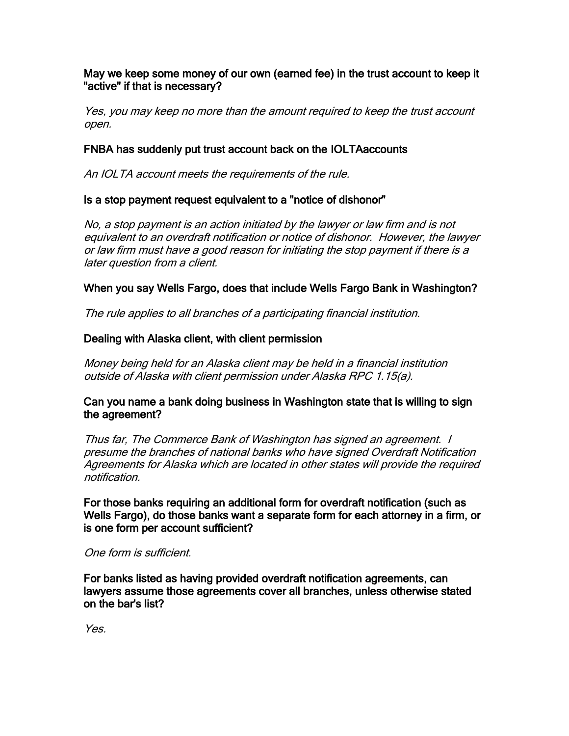### May we keep some money of our own (earned fee) in the trust account to keep it "active" if that is necessary?

Yes, you may keep no more than the amount required to keep the trust account open.

# FNBA has suddenly put trust account back on the IOLTAaccounts

An IOLTA account meets the requirements of the rule.

# Is a stop payment request equivalent to a "notice of dishonor"

No, a stop payment is an action initiated by the lawyer or law firm and is not equivalent to an overdraft notification or notice of dishonor. However, the lawyer or law firm must have a good reason for initiating the stop payment if there is a later question from a client.

# When you say Wells Fargo, does that include Wells Fargo Bank in Washington?

The rule applies to all branches of a participating financial institution.

## Dealing with Alaska client, with client permission

Money being held for an Alaska client may be held in a financial institution outside of Alaska with client permission under Alaska RPC 1.15(a).

### Can you name a bank doing business in Washington state that is willing to sign the agreement?

Thus far, The Commerce Bank of Washington has signed an agreement. I presume the branches of national banks who have signed Overdraft Notification Agreements for Alaska which are located in other states will provide the required notification.

For those banks requiring an additional form for overdraft notification (such as Wells Fargo), do those banks want a separate form for each attorney in a firm, or is one form per account sufficient?

### One form is sufficient.

For banks listed as having provided overdraft notification agreements, can lawyers assume those agreements cover all branches, unless otherwise stated on the bar's list?

Yes.